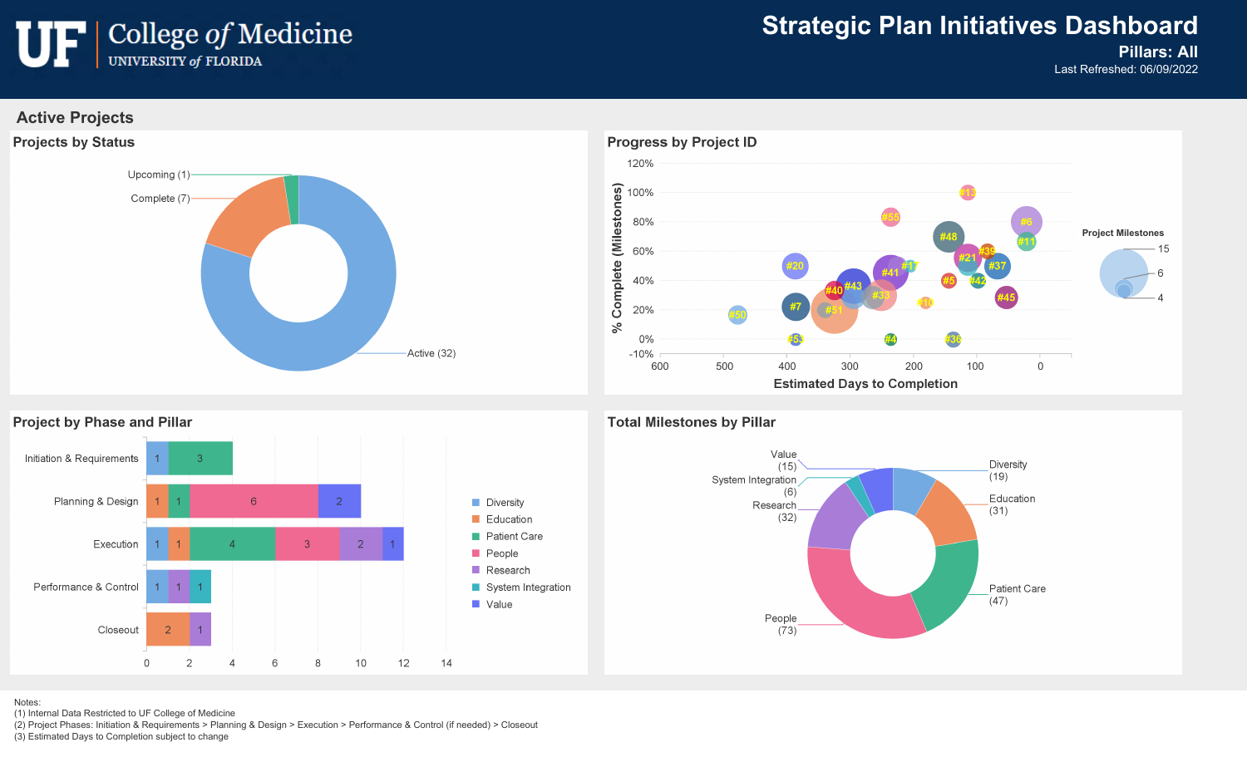

### **Strategic Plan Initiatives Dashboard**

### **Pillars: All**

Last Refreshed: 06/09/2022

#### **Active Projects**





#### **Project by Phase and Pillar**



#### **Total Milestones by Pillar**



Notes:

(1) Internal Data Restricted to UF College of Medicine

(2) Project Phases: Initiation & Requirements > Planning & Design > Execution > Performance & Control (if needed) > Closeout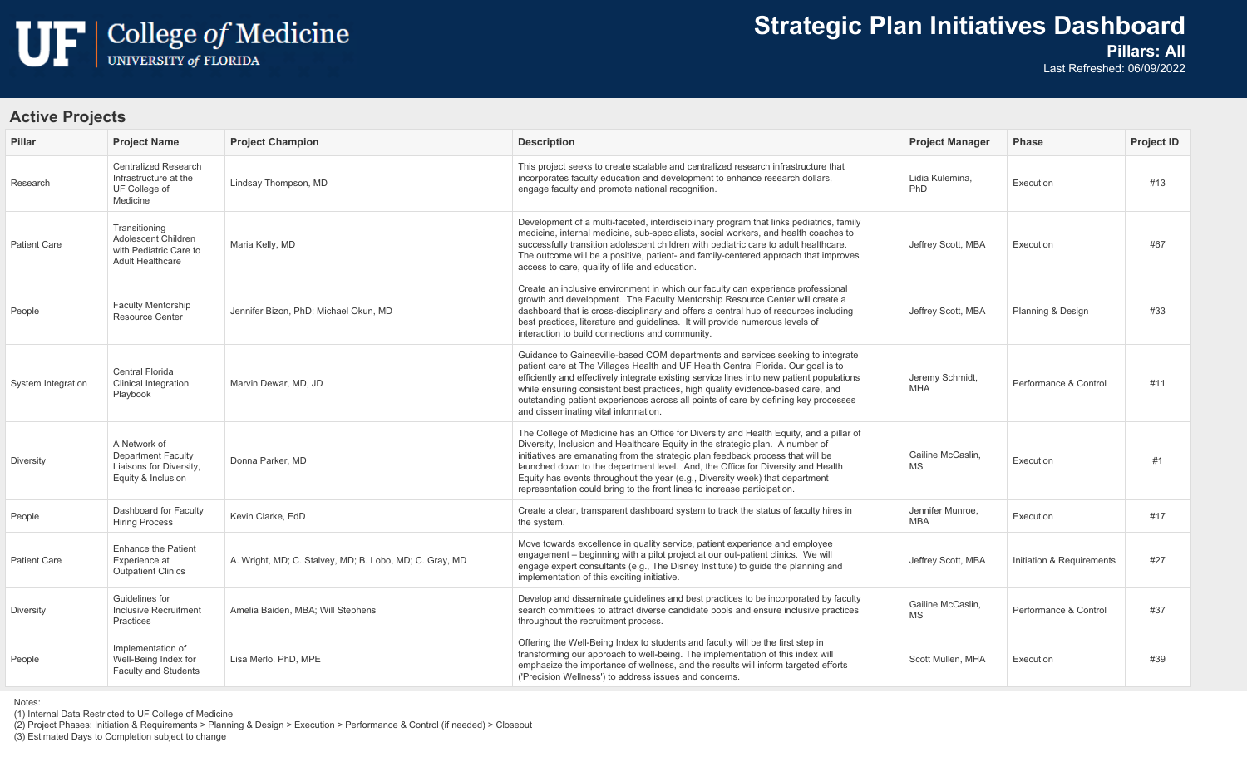

## **Strategic Plan Initiatives Dashboard**

### **Pillars: All**

Last Refreshed: 06/09/2022

#### **Active Projects**

| <b>Pillar</b>       | <b>Project Name</b>                                                                        | <b>Project Champion</b>                                 | <b>Description</b>                                                                                                                                                                                                                                                                                                                                                                                                                                                                                        | <b>Project Manager</b>         | <b>Phase</b>              | <b>Project ID</b> |
|---------------------|--------------------------------------------------------------------------------------------|---------------------------------------------------------|-----------------------------------------------------------------------------------------------------------------------------------------------------------------------------------------------------------------------------------------------------------------------------------------------------------------------------------------------------------------------------------------------------------------------------------------------------------------------------------------------------------|--------------------------------|---------------------------|-------------------|
| Research            | Centralized Research<br>Infrastructure at the<br>UF College of<br>Medicine                 | Lindsay Thompson, MD                                    | This project seeks to create scalable and centralized research infrastructure that<br>incorporates faculty education and development to enhance research dollars,<br>engage faculty and promote national recognition.                                                                                                                                                                                                                                                                                     | Lidia Kulemina.<br>PhD         | Execution                 | #13               |
| <b>Patient Care</b> | Transitioning<br>Adolescent Children<br>with Pediatric Care to<br><b>Adult Healthcare</b>  | Maria Kelly, MD                                         | Development of a multi-faceted, interdisciplinary program that links pediatrics, family<br>medicine, internal medicine, sub-specialists, social workers, and health coaches to<br>successfully transition adolescent children with pediatric care to adult healthcare.<br>The outcome will be a positive, patient- and family-centered approach that improves<br>access to care, quality of life and education.                                                                                           | Jeffrey Scott, MBA             | Execution                 | #67               |
| People              | <b>Faculty Mentorship</b><br><b>Resource Center</b>                                        | Jennifer Bizon, PhD: Michael Okun, MD                   | Create an inclusive environment in which our faculty can experience professional<br>growth and development. The Faculty Mentorship Resource Center will create a<br>dashboard that is cross-disciplinary and offers a central hub of resources including<br>best practices, literature and guidelines. It will provide numerous levels of<br>interaction to build connections and community.                                                                                                              | Jeffrey Scott, MBA             | Planning & Design         | #33               |
| System Integration  | Central Florida<br><b>Clinical Integration</b><br>Playbook                                 | Marvin Dewar, MD, JD                                    | Guidance to Gainesville-based COM departments and services seeking to integrate<br>patient care at The Villages Health and UF Health Central Florida. Our goal is to<br>efficiently and effectively integrate existing service lines into new patient populations<br>while ensuring consistent best practices, high quality evidence-based care, and<br>outstanding patient experiences across all points of care by defining key processes<br>and disseminating vital information.                       | Jeremy Schmidt,<br><b>MHA</b>  | Performance & Control     | #11               |
| Diversity           | A Network of<br><b>Department Faculty</b><br>Liaisons for Diversity,<br>Equity & Inclusion | Donna Parker, MD                                        | The College of Medicine has an Office for Diversity and Health Equity, and a pillar of<br>Diversity, Inclusion and Healthcare Equity in the strategic plan. A number of<br>initiatives are emanating from the strategic plan feedback process that will be<br>launched down to the department level. And, the Office for Diversity and Health<br>Equity has events throughout the year (e.g., Diversity week) that department<br>representation could bring to the front lines to increase participation. | Gailine McCaslin,<br>MS.       | Execution                 | #1                |
| People              | Dashboard for Faculty<br><b>Hiring Process</b>                                             | Kevin Clarke, EdD                                       | Create a clear, transparent dashboard system to track the status of faculty hires in<br>the system.                                                                                                                                                                                                                                                                                                                                                                                                       | Jennifer Munroe,<br><b>MBA</b> | Execution                 | #17               |
| <b>Patient Care</b> | <b>Enhance the Patient</b><br>Experience at<br><b>Outpatient Clinics</b>                   | A. Wright, MD; C. Stalvey, MD; B. Lobo, MD; C. Gray, MD | Move towards excellence in quality service, patient experience and employee<br>engagement – beginning with a pilot project at our out-patient clinics. We will<br>engage expert consultants (e.g., The Disney Institute) to guide the planning and<br>implementation of this exciting initiative.                                                                                                                                                                                                         | Jeffrey Scott, MBA             | Initiation & Requirements | #27               |
| <b>Diversity</b>    | Guidelines for<br>Inclusive Recruitment<br>Practices                                       | Amelia Baiden, MBA; Will Stephens                       | Develop and disseminate guidelines and best practices to be incorporated by faculty<br>search committees to attract diverse candidate pools and ensure inclusive practices<br>throughout the recruitment process.                                                                                                                                                                                                                                                                                         | Gailine McCaslin,<br><b>MS</b> | Performance & Control     | #37               |
| People              | Implementation of<br>Well-Being Index for<br><b>Faculty and Students</b>                   | Lisa Merlo, PhD, MPE                                    | Offering the Well-Being Index to students and faculty will be the first step in<br>transforming our approach to well-being. The implementation of this index will<br>emphasize the importance of wellness, and the results will inform targeted efforts<br>('Precision Wellness') to address issues and concerns.                                                                                                                                                                                         | Scott Mullen, MHA              | Execution                 | #39               |

Notes:

(1) Internal Data Restricted to UF College of Medicine

(2) Project Phases: Initiation & Requirements > Planning & Design > Execution > Performance & Control (if needed) > Closeout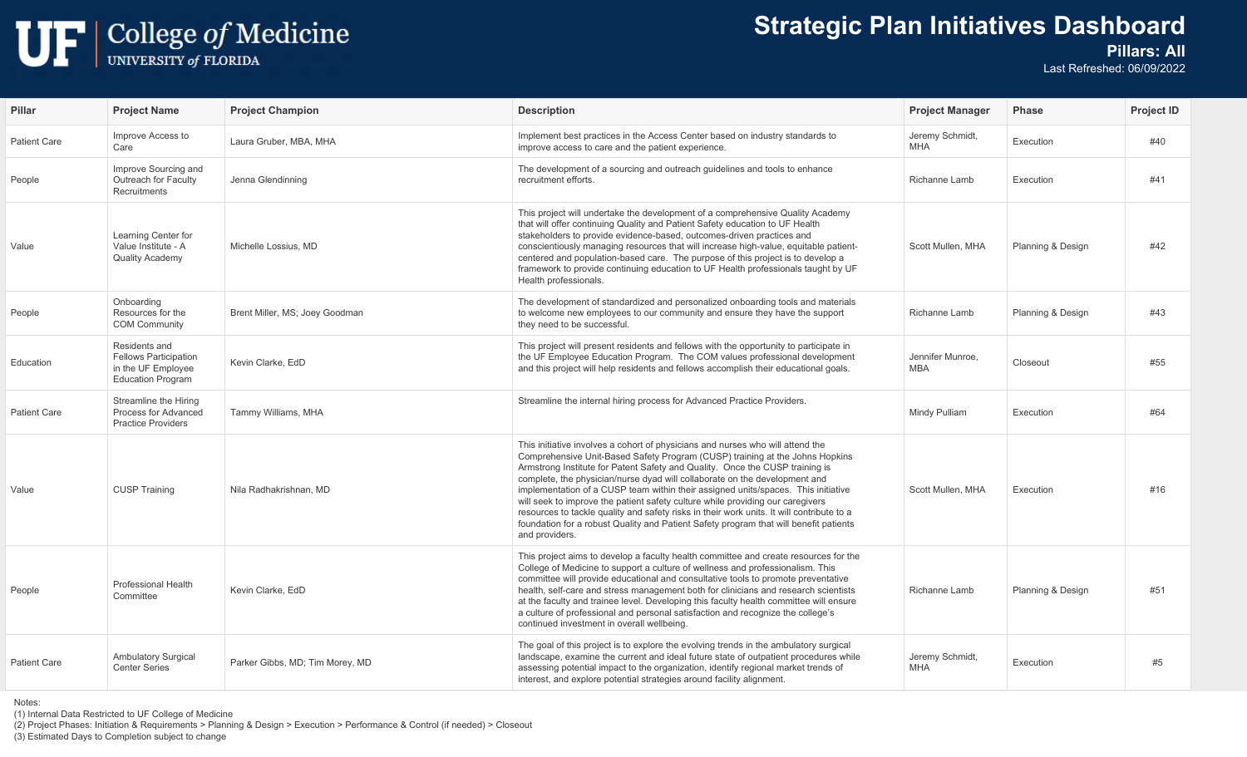## $\begin{tabular}{|c|c|} \hline \textbf{U} & \textbf{College of Medicine} \\ \hline \textbf{UNIVERSITY of FLORIDA} \end{tabular}$

## **Strategic Plan Initiatives Dashboard**

#### **Pillars: All**

Last Refreshed: 06/09/2022

| Pillar              | <b>Project Name</b>                                                                             | <b>Project Champion</b>         | <b>Description</b>                                                                                                                                                                                                                                                                                                                                                                                                                                                                                                                                                                                                                                                                                          | <b>Project Manager</b>         | <b>Phase</b>      | <b>Project ID</b> |
|---------------------|-------------------------------------------------------------------------------------------------|---------------------------------|-------------------------------------------------------------------------------------------------------------------------------------------------------------------------------------------------------------------------------------------------------------------------------------------------------------------------------------------------------------------------------------------------------------------------------------------------------------------------------------------------------------------------------------------------------------------------------------------------------------------------------------------------------------------------------------------------------------|--------------------------------|-------------------|-------------------|
| <b>Patient Care</b> | Improve Access to<br>Care                                                                       | Laura Gruber, MBA, MHA          | Implement best practices in the Access Center based on industry standards to<br>improve access to care and the patient experience.                                                                                                                                                                                                                                                                                                                                                                                                                                                                                                                                                                          | Jeremy Schmidt,<br><b>MHA</b>  | Execution         | #40               |
| People              | Improve Sourcing and<br>Outreach for Faculty<br>Recruitments                                    | Jenna Glendinning               | The development of a sourcing and outreach guidelines and tools to enhance<br>recruitment efforts.                                                                                                                                                                                                                                                                                                                                                                                                                                                                                                                                                                                                          | Richanne Lamb                  | Execution         | #41               |
| Value               | Learning Center for<br>Value Institute - A<br><b>Quality Academy</b>                            | Michelle Lossius, MD            | This project will undertake the development of a comprehensive Quality Academy<br>that will offer continuing Quality and Patient Safety education to UF Health<br>stakeholders to provide evidence-based, outcomes-driven practices and<br>conscientiously managing resources that will increase high-value, equitable patient-<br>centered and population-based care. The purpose of this project is to develop a<br>framework to provide continuing education to UF Health professionals taught by UF<br>Health professionals.                                                                                                                                                                            | Scott Mullen, MHA              | Planning & Design | #42               |
| People              | Onboarding<br>Resources for the<br><b>COM Community</b>                                         | Brent Miller, MS; Joey Goodman  | The development of standardized and personalized onboarding tools and materials<br>to welcome new employees to our community and ensure they have the support<br>they need to be successful.                                                                                                                                                                                                                                                                                                                                                                                                                                                                                                                | Richanne Lamb                  | Planning & Design | #43               |
| Education           | Residents and<br><b>Fellows Participation</b><br>in the UF Employee<br><b>Education Program</b> | Kevin Clarke, EdD               | This project will present residents and fellows with the opportunity to participate in<br>the UF Employee Education Program. The COM values professional development<br>and this project will help residents and fellows accomplish their educational goals.                                                                                                                                                                                                                                                                                                                                                                                                                                                | Jennifer Munroe,<br><b>MBA</b> | Closeout          | #55               |
| <b>Patient Care</b> | Streamline the Hiring<br>Process for Advanced<br><b>Practice Providers</b>                      | Tammy Williams, MHA             | Streamline the internal hiring process for Advanced Practice Providers.                                                                                                                                                                                                                                                                                                                                                                                                                                                                                                                                                                                                                                     | Mindy Pulliam                  | Execution         | #64               |
| Value               | <b>CUSP Training</b>                                                                            | Nila Radhakrishnan, MD          | This initiative involves a cohort of physicians and nurses who will attend the<br>Comprehensive Unit-Based Safety Program (CUSP) training at the Johns Hopkins<br>Armstrong Institute for Patent Safety and Quality. Once the CUSP training is<br>complete, the physician/nurse dyad will collaborate on the development and<br>implementation of a CUSP team within their assigned units/spaces. This initiative<br>will seek to improve the patient safety culture while providing our caregivers<br>resources to tackle quality and safety risks in their work units. It will contribute to a<br>foundation for a robust Quality and Patient Safety program that will benefit patients<br>and providers. | Scott Mullen, MHA              | Execution         | #16               |
| People              | <b>Professional Health</b><br>Committee                                                         | Kevin Clarke, EdD               | This project aims to develop a faculty health committee and create resources for the<br>College of Medicine to support a culture of wellness and professionalism. This<br>committee will provide educational and consultative tools to promote preventative<br>health, self-care and stress management both for clinicians and research scientists<br>at the faculty and trainee level. Developing this faculty health committee will ensure<br>a culture of professional and personal satisfaction and recognize the college's<br>continued investment in overall wellbeing.                                                                                                                               | Richanne Lamb                  | Planning & Design | #51               |
| <b>Patient Care</b> | <b>Ambulatory Surgical</b><br><b>Center Series</b>                                              | Parker Gibbs, MD; Tim Morey, MD | The goal of this project is to explore the evolving trends in the ambulatory surgical<br>landscape, examine the current and ideal future state of outpatient procedures while<br>assessing potential impact to the organization, identify regional market trends of<br>interest, and explore potential strategies around facility alignment.                                                                                                                                                                                                                                                                                                                                                                | Jeremy Schmidt,<br><b>MHA</b>  | Execution         | #5                |

Notes:

(1) Internal Data Restricted to UF College of Medicine

(2) Project Phases: Initiation & Requirements > Planning & Design > Execution > Performance & Control (if needed) > Closeout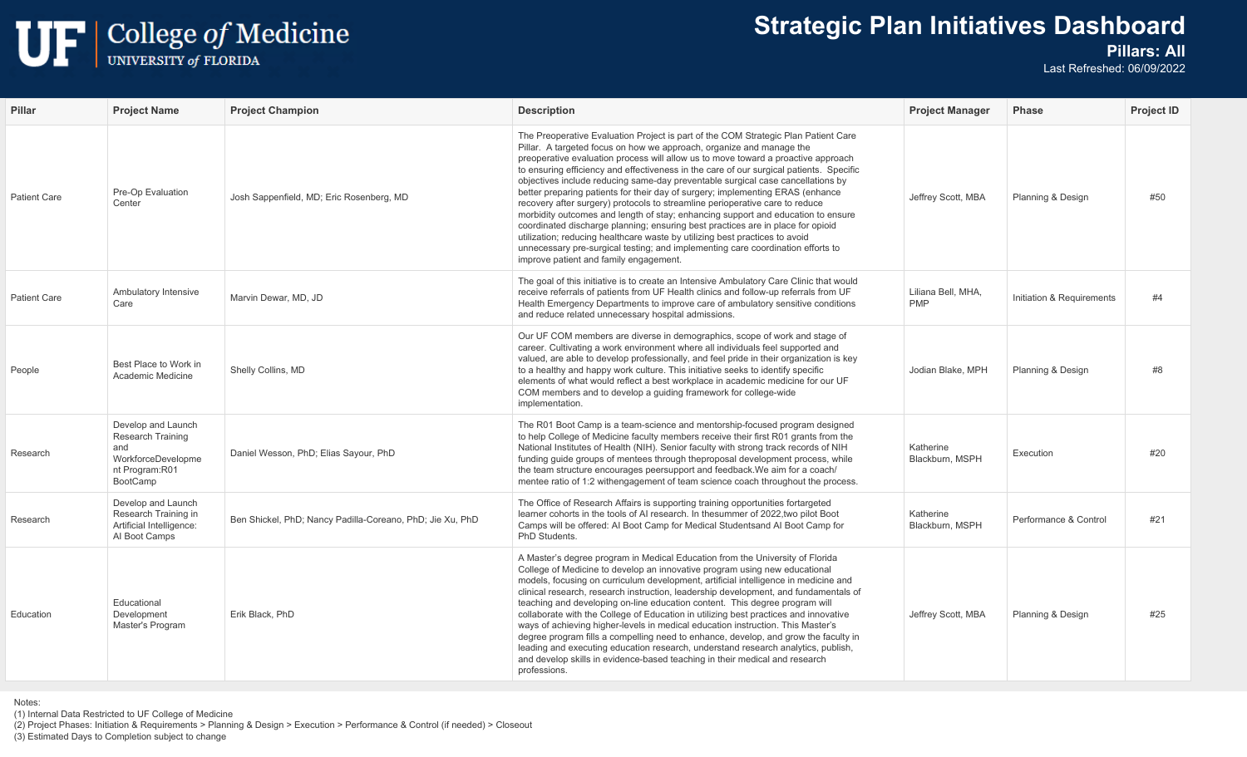

## **Strategic Plan Initiatives Dashboard**

#### **Pillars: All**

Last Refreshed: 06/09/2022

| <b>Pillar</b>       | <b>Project Name</b>                                                                                       | <b>Project Champion</b>                                   | <b>Description</b>                                                                                                                                                                                                                                                                                                                                                                                                                                                                                                                                                                                                                                                                                                                                                                                                                                                                                                                                                                 | <b>Project Manager</b>           | <b>Phase</b>              | <b>Project ID</b> |
|---------------------|-----------------------------------------------------------------------------------------------------------|-----------------------------------------------------------|------------------------------------------------------------------------------------------------------------------------------------------------------------------------------------------------------------------------------------------------------------------------------------------------------------------------------------------------------------------------------------------------------------------------------------------------------------------------------------------------------------------------------------------------------------------------------------------------------------------------------------------------------------------------------------------------------------------------------------------------------------------------------------------------------------------------------------------------------------------------------------------------------------------------------------------------------------------------------------|----------------------------------|---------------------------|-------------------|
| <b>Patient Care</b> | Pre-Op Evaluation<br>Center                                                                               | Josh Sappenfield, MD; Eric Rosenberg, MD                  | The Preoperative Evaluation Project is part of the COM Strategic Plan Patient Care<br>Pillar. A targeted focus on how we approach, organize and manage the<br>preoperative evaluation process will allow us to move toward a proactive approach<br>to ensuring efficiency and effectiveness in the care of our surgical patients. Specific<br>objectives include reducing same-day preventable surgical case cancellations by<br>better preparing patients for their day of surgery; implementing ERAS (enhance<br>recovery after surgery) protocols to streamline perioperative care to reduce<br>morbidity outcomes and length of stay; enhancing support and education to ensure<br>coordinated discharge planning; ensuring best practices are in place for opioid<br>utilization; reducing healthcare waste by utilizing best practices to avoid<br>unnecessary pre-surgical testing; and implementing care coordination efforts to<br>improve patient and family engagement. | Jeffrey Scott, MBA               | Planning & Design         | #50               |
| <b>Patient Care</b> | Ambulatory Intensive<br>Care                                                                              | Marvin Dewar, MD, JD                                      | The goal of this initiative is to create an Intensive Ambulatory Care Clinic that would<br>receive referrals of patients from UF Health clinics and follow-up referrals from UF<br>Health Emergency Departments to improve care of ambulatory sensitive conditions<br>and reduce related unnecessary hospital admissions.                                                                                                                                                                                                                                                                                                                                                                                                                                                                                                                                                                                                                                                          | Liliana Bell, MHA,<br><b>PMP</b> | Initiation & Requirements | #4                |
| People              | Best Place to Work in<br>Academic Medicine                                                                | Shelly Collins, MD                                        | Our UF COM members are diverse in demographics, scope of work and stage of<br>career. Cultivating a work environment where all individuals feel supported and<br>valued, are able to develop professionally, and feel pride in their organization is key<br>to a healthy and happy work culture. This initiative seeks to identify specific<br>elements of what would reflect a best workplace in academic medicine for our UF<br>COM members and to develop a guiding framework for college-wide<br>implementation.                                                                                                                                                                                                                                                                                                                                                                                                                                                               | Jodian Blake, MPH                | Planning & Design         | #8                |
| Research            | Develop and Launch<br>Research Training<br>and<br>WorkforceDevelopme<br>nt Program:R01<br><b>BootCamp</b> | Daniel Wesson, PhD; Elias Sayour, PhD                     | The R01 Boot Camp is a team-science and mentorship-focused program designed<br>to help College of Medicine faculty members receive their first R01 grants from the<br>National Institutes of Health (NIH). Senior faculty with strong track records of NIH<br>funding guide groups of mentees through theproposal development process, while<br>the team structure encourages peersupport and feedback. We aim for a coach/<br>mentee ratio of 1:2 withengagement of team science coach throughout the process.                                                                                                                                                                                                                                                                                                                                                                                                                                                                    | Katherine<br>Blackburn, MSPH     | Execution                 | #20               |
| Research            | Develop and Launch<br>Research Training in<br>Artificial Intelligence:<br>Al Boot Camps                   | Ben Shickel, PhD; Nancy Padilla-Coreano, PhD; Jie Xu, PhD | The Office of Research Affairs is supporting training opportunities fortargeted<br>learner cohorts in the tools of AI research. In the summer of 2022, two pilot Boot<br>Camps will be offered: Al Boot Camp for Medical Studentsand Al Boot Camp for<br>PhD Students.                                                                                                                                                                                                                                                                                                                                                                                                                                                                                                                                                                                                                                                                                                             | Katherine<br>Blackburn, MSPH     | Performance & Control     | #21               |
| Education           | Educational<br>Development<br>Master's Program                                                            | Erik Black, PhD                                           | A Master's degree program in Medical Education from the University of Florida<br>College of Medicine to develop an innovative program using new educational<br>models, focusing on curriculum development, artificial intelligence in medicine and<br>clinical research, research instruction, leadership development, and fundamentals of<br>teaching and developing on-line education content. This degree program will<br>collaborate with the College of Education in utilizing best practices and innovative<br>ways of achieving higher-levels in medical education instruction. This Master's<br>degree program fills a compelling need to enhance, develop, and grow the faculty in<br>leading and executing education research, understand research analytics, publish,<br>and develop skills in evidence-based teaching in their medical and research<br>professions.                                                                                                    | Jeffrey Scott, MBA               | Planning & Design         | #25               |

Notes:

(1) Internal Data Restricted to UF College of Medicine

(2) Project Phases: Initiation & Requirements > Planning & Design > Execution > Performance & Control (if needed) > Closeout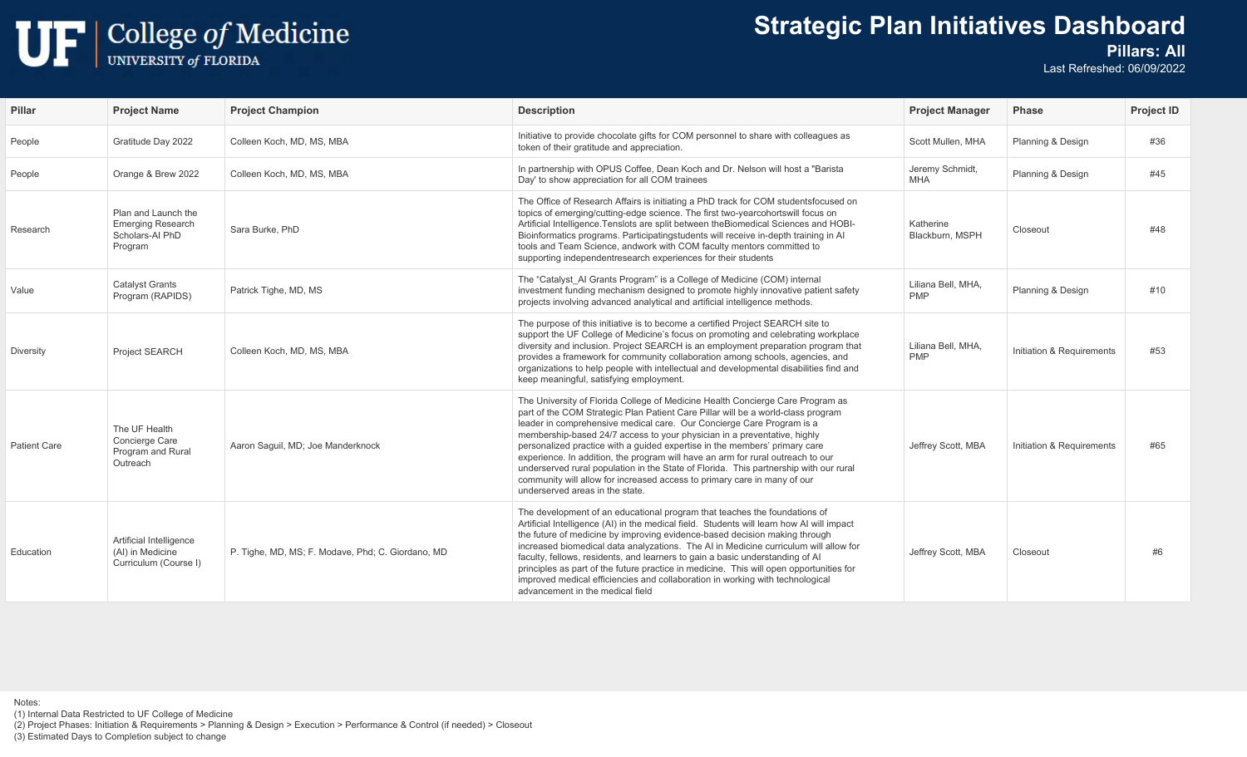## $\begin{tabular}{|c|c|} \hline \textbf{U} & \textbf{College of Medicine} \\ \hline \textbf{UNIVERSITY of FLORIDA} \end{tabular}$

## **Strategic Plan Initiatives Dashboard**

#### **Pillars: All**

Last Refreshed: 06/09/2022

| <b>Pillar</b> | <b>Project Name</b>                                                           | <b>Project Champion</b>                           | <b>Description</b>                                                                                                                                                                                                                                                                                                                                                                                                                                                                                                                                                                                                                                                                               | <b>Project Manager</b>           | <b>Phase</b>              | <b>Project ID</b> |
|---------------|-------------------------------------------------------------------------------|---------------------------------------------------|--------------------------------------------------------------------------------------------------------------------------------------------------------------------------------------------------------------------------------------------------------------------------------------------------------------------------------------------------------------------------------------------------------------------------------------------------------------------------------------------------------------------------------------------------------------------------------------------------------------------------------------------------------------------------------------------------|----------------------------------|---------------------------|-------------------|
| People        | Gratitude Day 2022                                                            | Colleen Koch, MD, MS, MBA                         | Initiative to provide chocolate gifts for COM personnel to share with colleagues as<br>token of their gratitude and appreciation.                                                                                                                                                                                                                                                                                                                                                                                                                                                                                                                                                                | Scott Mullen, MHA                | Planning & Design         | #36               |
| People        | Orange & Brew 2022                                                            | Colleen Koch, MD, MS, MBA                         | In partnership with OPUS Coffee, Dean Koch and Dr. Nelson will host a "Barista"<br>Day' to show appreciation for all COM trainees                                                                                                                                                                                                                                                                                                                                                                                                                                                                                                                                                                | Jeremy Schmidt,<br>MHA           | Planning & Design         | #45               |
| Research      | Plan and Launch the<br><b>Emerging Research</b><br>Scholars-Al PhD<br>Program | Sara Burke, PhD                                   | The Office of Research Affairs is initiating a PhD track for COM studentsfocused on<br>topics of emerging/cutting-edge science. The first two-yearcohortswill focus on<br>Artificial Intelligence. Tenslots are split between the Biomedical Sciences and HOBI-<br>Bioinformatics programs. Participatingstudents will receive in-depth training in Al<br>tools and Team Science, andwork with COM faculty mentors committed to<br>supporting independentresearch experiences for their students                                                                                                                                                                                                 | Katherine<br>Blackburn, MSPH     | Closeout                  | #48               |
| Value         | <b>Catalyst Grants</b><br>Program (RAPIDS)                                    | Patrick Tighe, MD, MS                             | The "Catalyst AI Grants Program" is a College of Medicine (COM) internal<br>investment funding mechanism designed to promote highly innovative patient safety<br>projects involving advanced analytical and artificial intelligence methods.                                                                                                                                                                                                                                                                                                                                                                                                                                                     | Liliana Bell, MHA,<br><b>PMP</b> | Planning & Design         | #10               |
| Diversity     | Project SEARCH                                                                | Colleen Koch, MD, MS, MBA                         | The purpose of this initiative is to become a certified Project SEARCH site to<br>support the UF College of Medicine's focus on promoting and celebrating workplace<br>diversity and inclusion. Project SEARCH is an employment preparation program that<br>provides a framework for community collaboration among schools, agencies, and<br>organizations to help people with intellectual and developmental disabilities find and<br>keep meaningful, satisfying employment.                                                                                                                                                                                                                   | Liliana Bell, MHA,<br><b>PMP</b> | Initiation & Requirements | #53               |
| Patient Care  | The UF Health<br>Concierge Care<br>Program and Rural<br>Outreach              | Aaron Saquil, MD; Joe Manderknock                 | The University of Florida College of Medicine Health Concierge Care Program as<br>part of the COM Strategic Plan Patient Care Pillar will be a world-class program<br>leader in comprehensive medical care. Our Concierge Care Program is a<br>membership-based 24/7 access to your physician in a preventative, highly<br>personalized practice with a quided expertise in the members' primary care<br>experience. In addition, the program will have an arm for rural outreach to our<br>underserved rural population in the State of Florida. This partnership with our rural<br>community will allow for increased access to primary care in many of our<br>underserved areas in the state. | Jeffrey Scott, MBA               | Initiation & Requirements | #65               |
| Education     | Artificial Intelligence<br>(AI) in Medicine<br>Curriculum (Course I)          | P. Tighe, MD, MS; F. Modave, Phd; C. Giordano, MD | The development of an educational program that teaches the foundations of<br>Artificial Intelligence (AI) in the medical field. Students will learn how AI will impact<br>the future of medicine by improving evidence-based decision making through<br>increased biomedical data analyzations. The AI in Medicine curriculum will allow for<br>faculty, fellows, residents, and learners to gain a basic understanding of Al<br>principles as part of the future practice in medicine. This will open opportunities for<br>improved medical efficiencies and collaboration in working with technological<br>advancement in the medical field                                                    | Jeffrey Scott, MBA               | Closeout                  | #6                |

Notes: (1) Internal Data Restricted to UF College of Medicine (2) Project Phases: Initiation & Requirements > Planning & Design > Execution > Performance & Control (if needed) > Closeout (3) Estimated Days to Completion subject to change